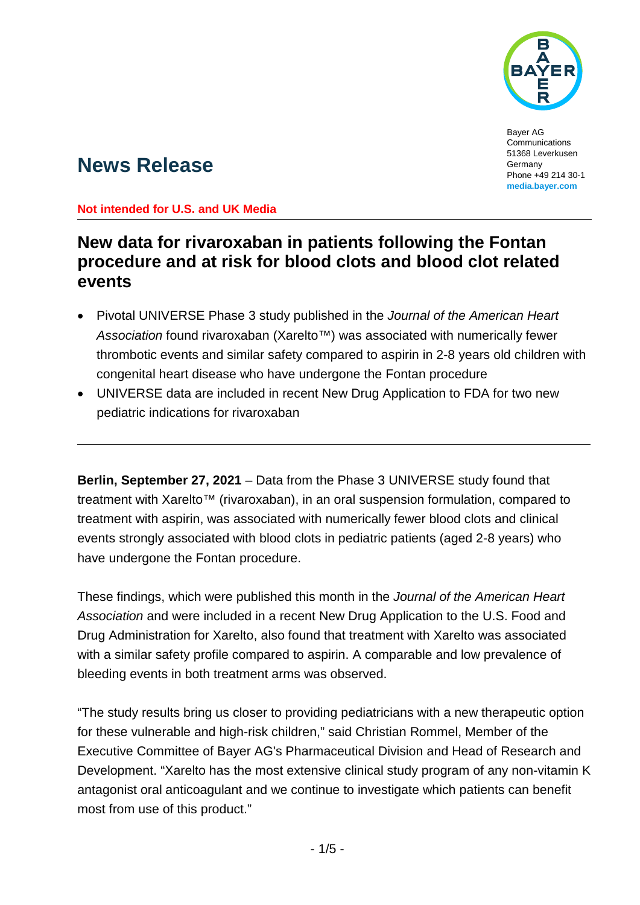

Bayer AG Communications 51368 Leverkusen Germany Phone +49 214 30-1 **[media.bayer.com](http://media.bayer.com/)**

# **News Release**

#### **Not intended for U.S. and UK Media**

## **New data for rivaroxaban in patients following the Fontan procedure and at risk for blood clots and blood clot related events**

- Pivotal UNIVERSE Phase 3 study published in the *Journal of the American Heart Association* found rivaroxaban (Xarelto™) was associated with numerically fewer thrombotic events and similar safety compared to aspirin in 2-8 years old children with congenital heart disease who have undergone the Fontan procedure
- UNIVERSE data are included in recent New Drug Application to FDA for two new pediatric indications for rivaroxaban

**Berlin, September 27, 2021** – Data from the Phase 3 UNIVERSE study found that treatment with Xarelto™ (rivaroxaban), in an oral suspension formulation, compared to treatment with aspirin, was associated with numerically fewer blood clots and clinical events strongly associated with blood clots in pediatric patients (aged 2-8 years) who have undergone the Fontan procedure.

These findings, which were published this month in the *Journal of the American Heart Association* and were included in a recent New Drug Application to the U.S. Food and Drug Administration for Xarelto, also found that treatment with Xarelto was associated with a similar safety profile compared to aspirin. A comparable and low prevalence of bleeding events in both treatment arms was observed.

"The study results bring us closer to providing pediatricians with a new therapeutic option for these vulnerable and high-risk children," said Christian Rommel, Member of the Executive Committee of Bayer AG's Pharmaceutical Division and Head of Research and Development. "Xarelto has the most extensive clinical study program of any non-vitamin K antagonist oral anticoagulant and we continue to investigate which patients can benefit most from use of this product."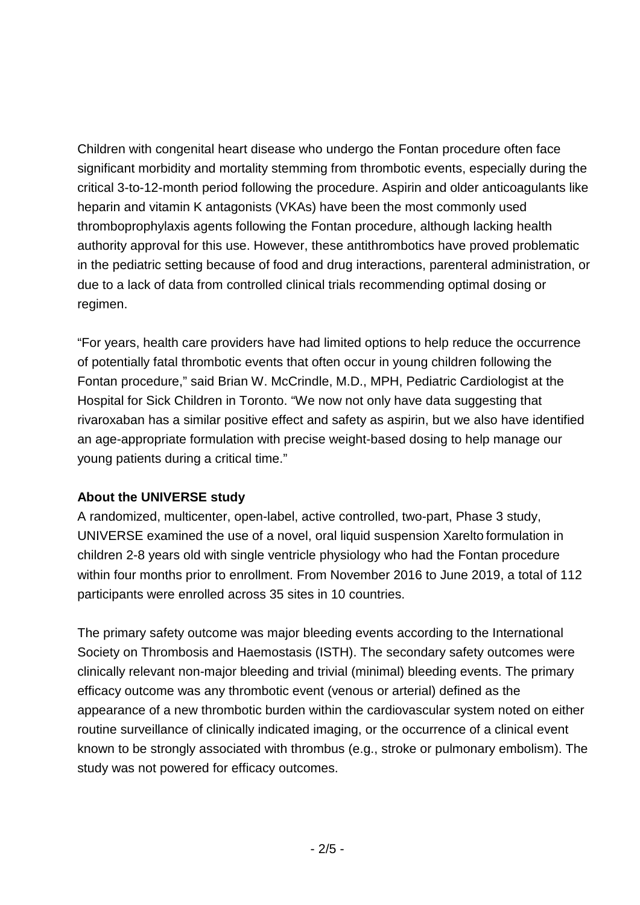Children with congenital heart disease who undergo the Fontan procedure often face significant morbidity and mortality stemming from thrombotic events, especially during the critical 3-to-12-month period following the procedure. Aspirin and older anticoagulants like heparin and vitamin K antagonists (VKAs) have been the most commonly used thromboprophylaxis agents following the Fontan procedure, although lacking health authority approval for this use. However, these antithrombotics have proved problematic in the pediatric setting because of food and drug interactions, parenteral administration, or due to a lack of data from controlled clinical trials recommending optimal dosing or regimen.

"For years, health care providers have had limited options to help reduce the occurrence of potentially fatal thrombotic events that often occur in young children following the Fontan procedure," said Brian W. McCrindle, M.D., MPH, Pediatric Cardiologist at the Hospital for Sick Children in Toronto. "We now not only have data suggesting that rivaroxaban has a similar positive effect and safety as aspirin, but we also have identified an age-appropriate formulation with precise weight-based dosing to help manage our young patients during a critical time."

#### **About the UNIVERSE study**

A randomized, multicenter, open-label, active controlled, two-part, Phase 3 study, UNIVERSE examined the use of a novel, oral liquid suspension Xarelto formulation in children 2-8 years old with single ventricle physiology who had the Fontan procedure within four months prior to enrollment. From November 2016 to June 2019, a total of 112 participants were enrolled across 35 sites in 10 countries.

The primary safety outcome was major bleeding events according to the International Society on Thrombosis and Haemostasis (ISTH). The secondary safety outcomes were clinically relevant non-major bleeding and trivial (minimal) bleeding events. The primary efficacy outcome was any thrombotic event (venous or arterial) defined as the appearance of a new thrombotic burden within the cardiovascular system noted on either routine surveillance of clinically indicated imaging, or the occurrence of a clinical event known to be strongly associated with thrombus (e.g., stroke or pulmonary embolism). The study was not powered for efficacy outcomes.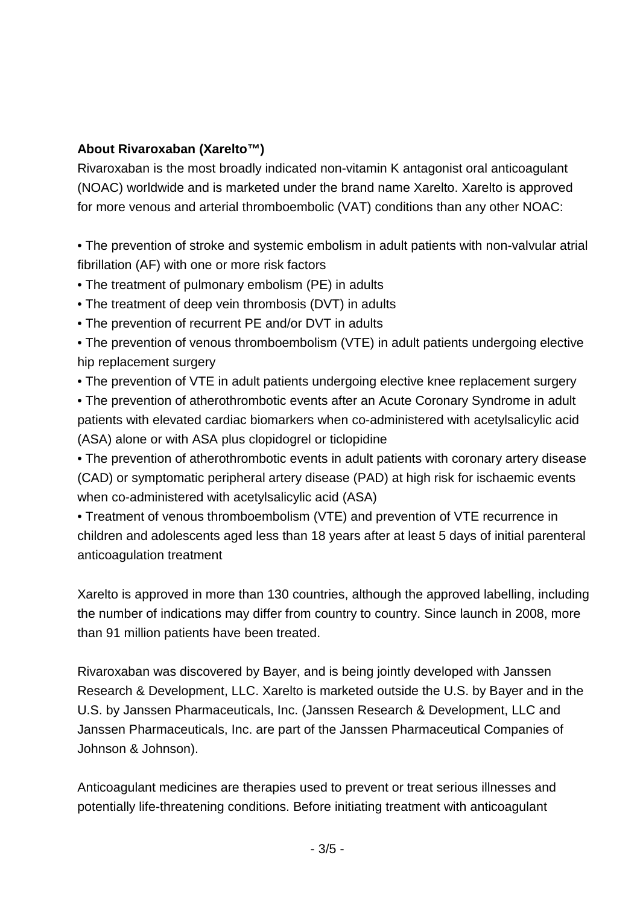### **About Rivaroxaban (Xarelto™)**

Rivaroxaban is the most broadly indicated non-vitamin K antagonist oral anticoagulant (NOAC) worldwide and is marketed under the brand name Xarelto. Xarelto is approved for more venous and arterial thromboembolic (VAT) conditions than any other NOAC:

• The prevention of stroke and systemic embolism in adult patients with non-valvular atrial fibrillation (AF) with one or more risk factors

- The treatment of pulmonary embolism (PE) in adults
- The treatment of deep vein thrombosis (DVT) in adults
- The prevention of recurrent PE and/or DVT in adults
- The prevention of venous thromboembolism (VTE) in adult patients undergoing elective hip replacement surgery
- The prevention of VTE in adult patients undergoing elective knee replacement surgery

• The prevention of atherothrombotic events after an Acute Coronary Syndrome in adult patients with elevated cardiac biomarkers when co-administered with acetylsalicylic acid (ASA) alone or with ASA plus clopidogrel or ticlopidine

• The prevention of atherothrombotic events in adult patients with coronary artery disease (CAD) or symptomatic peripheral artery disease (PAD) at high risk for ischaemic events when co-administered with acetylsalicylic acid (ASA)

• Treatment of venous thromboembolism (VTE) and prevention of VTE recurrence in children and adolescents aged less than 18 years after at least 5 days of initial parenteral anticoagulation treatment

Xarelto is approved in more than 130 countries, although the approved labelling, including the number of indications may differ from country to country. Since launch in 2008, more than 91 million patients have been treated.

Rivaroxaban was discovered by Bayer, and is being jointly developed with Janssen Research & Development, LLC. Xarelto is marketed outside the U.S. by Bayer and in the U.S. by Janssen Pharmaceuticals, Inc. (Janssen Research & Development, LLC and Janssen Pharmaceuticals, Inc. are part of the Janssen Pharmaceutical Companies of Johnson & Johnson).

Anticoagulant medicines are therapies used to prevent or treat serious illnesses and potentially life-threatening conditions. Before initiating treatment with anticoagulant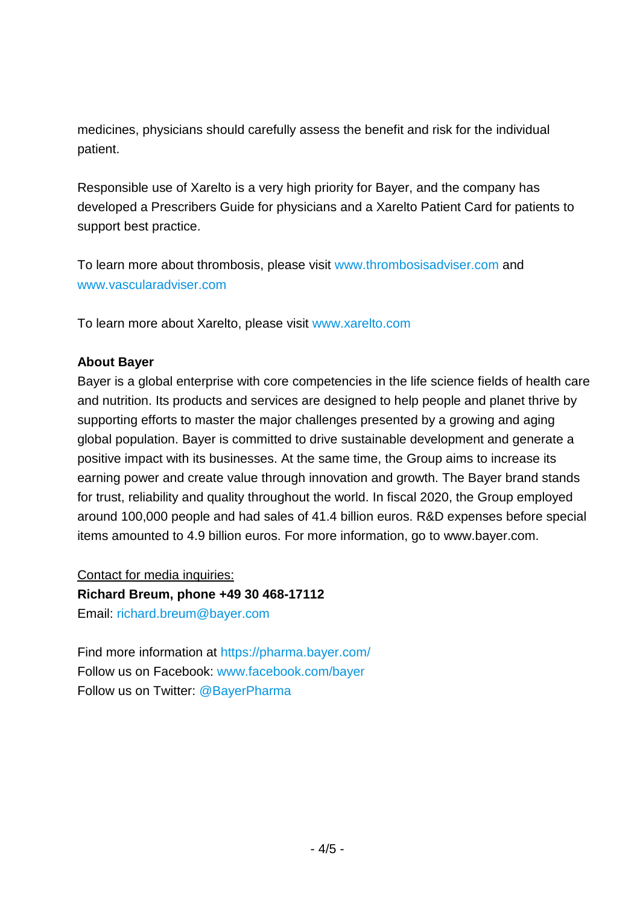medicines, physicians should carefully assess the benefit and risk for the individual patient.

Responsible use of Xarelto is a very high priority for Bayer, and the company has developed a Prescribers Guide for physicians and a Xarelto Patient Card for patients to support best practice.

To learn more about thrombosis, please visit [www.thrombosisadviser.com](http://www.thrombosisadviser.com/) and [www.vascularadviser.com](http://www.vascularadviser.com/)

To learn more about Xarelto, please visit [www.xarelto.com](http://www.xarelto.com/)

#### **About Bayer**

Bayer is a global enterprise with core competencies in the life science fields of health care and nutrition. Its products and services are designed to help people and planet thrive by supporting efforts to master the major challenges presented by a growing and aging global population. Bayer is committed to drive sustainable development and generate a positive impact with its businesses. At the same time, the Group aims to increase its earning power and create value through innovation and growth. The Bayer brand stands for trust, reliability and quality throughout the world. In fiscal 2020, the Group employed around 100,000 people and had sales of 41.4 billion euros. R&D expenses before special items amounted to 4.9 billion euros. For more information, go to [www.bayer.com.](http://www.bayer.com/)

Contact for media inquiries: **Richard Breum, phone +49 30 468-17112** Email: [richard.breum@bayer.com](mailto:richard.breum@bayer.com)

Find more information at<https://pharma.bayer.com/> Follow us on Facebook: [www.facebook.com/bayer](http://www.facebook.com/bayer) Follow us on Twitter: [@BayerPharma](https://twitter.com/bayerpharma)